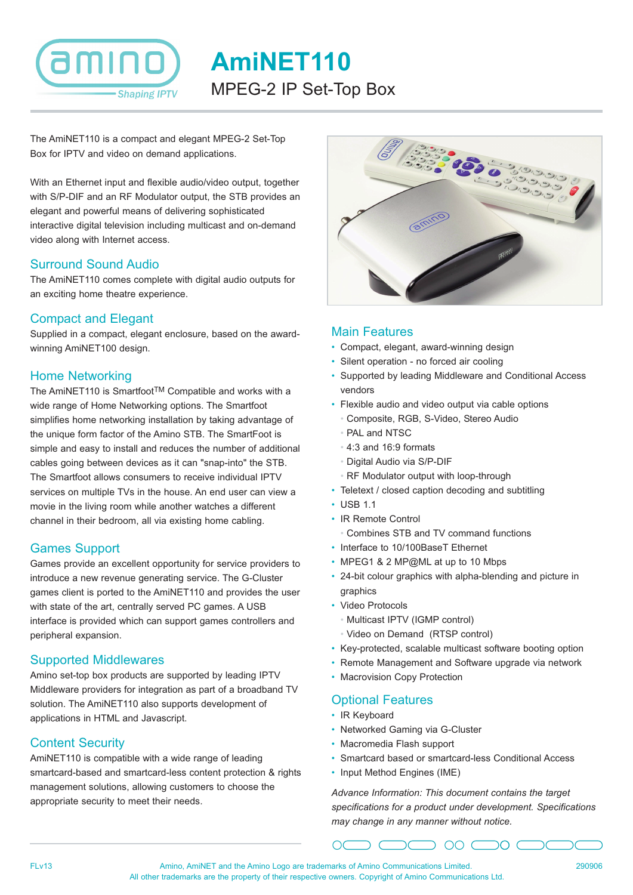

**AmiNET110** MPEG-2 IP Set-Top Box

The AmiNET110 is a compact and elegant MPEG-2 Set-Top Box for IPTV and video on demand applications.

With an Ethernet input and flexible audio/video output, together with S/P-DIF and an RF Modulator output, the STB provides an elegant and powerful means of delivering sophisticated interactive digital television including multicast and on-demand video along with Internet access.

### Surround Sound Audio

The AmiNET110 comes complete with digital audio outputs for an exciting home theatre experience.

### Compact and Elegant

Supplied in a compact, elegant enclosure, based on the awardwinning AmiNET100 design.

### Home Networking

The AmiNET110 is SmartfootTM Compatible and works with a wide range of Home Networking options. The Smartfoot simplifies home networking installation by taking advantage of the unique form factor of the Amino STB. The SmartFoot is simple and easy to install and reduces the number of additional cables going between devices as it can "snap-into" the STB. The Smartfoot allows consumers to receive individual IPTV services on multiple TVs in the house. An end user can view a movie in the living room while another watches a different channel in their bedroom, all via existing home cabling.

# Games Support

Games provide an excellent opportunity for service providers to introduce a new revenue generating service. The G-Cluster games client is ported to the AmiNET110 and provides the user with state of the art, centrally served PC games. A USB interface is provided which can support games controllers and peripheral expansion.

#### Supported Middlewares

Amino set-top box products are supported by leading IPTV Middleware providers for integration as part of a broadband TV solution. The AmiNET110 also supports development of applications in HTML and Javascript.

# Content Security

AmiNET110 is compatible with a wide range of leading smartcard-based and smartcard-less content protection & rights management solutions, allowing customers to choose the appropriate security to meet their needs.



### Main Features

- Compact, elegant, award-winning design
- Silent operation no forced air cooling
- Supported by leading Middleware and Conditional Access vendors
- Flexible audio and video output via cable options
	- Composite, RGB, S-Video, Stereo Audio
	- PAL and NTSC
	- 4:3 and 16:9 formats
	- Digital Audio via S/P-DIF
	- RF Modulator output with loop-through
- Teletext / closed caption decoding and subtitling
- USB 1.1
- IR Remote Control
	- Combines STB and TV command functions
- Interface to 10/100BaseT Ethernet
- MPEG1 & 2 MP@ML at up to 10 Mbps
- 24-bit colour graphics with alpha-blending and picture in graphics
- Video Protocols
	- Multicast IPTV (IGMP control)
	- Video on Demand (RTSP control)
- Key-protected, scalable multicast software booting option
- Remote Management and Software upgrade via network
- Macrovision Copy Protection

# Optional Features

- IR Keyboard
- Networked Gaming via G-Cluster
- Macromedia Flash support
- Smartcard based or smartcard-less Conditional Access
- Input Method Engines (IME)

*Advance Information: This document contains the target specifications for a product under development. Specifications may change in any manner without notice.*

 $\supset$  00  $\bigcap$  0  $\bigcap$ 

FLv13 Amino, AmiNET and the Amino Logo are trademarks of Amino Communications Limited. All other trademarks are the property of their respective owners. Copyright of Amino Communications Ltd.